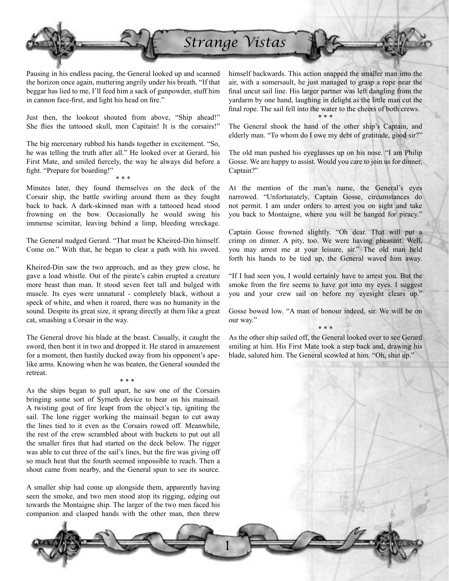

Pausing in his endless pacing, the General looked up and scanned the horizon once again, muttering angrily under his breath. "If that beggar has lied to me, I'll feed him a sack of gunpowder, stuff him in cannon face-first, and light his head on fire."

Just then, the lookout shouted from above, "Ship ahead!" She flies the tattooed skull, mon Capitain! It is the corsairs!"

The big mercenary rubbed his hands together in excitement. "So, he was telling the truth after all." He looked over at Gerard, his First Mate, and smiled fiercely, the way he always did before a fight. "Prepare for boarding!"

\* \* \*

Minutes later, they found themselves on the deck of the Corsair ship, the battle swirling around them as they fought back to back. A dark-skinned man with a tattooed head stood frowning on the bow. Occasionally he would swing his immense scimitar, leaving behind a limp, bleeding wreckage.

The General nudged Gerard. "That must be Kheired-Din himself. Come on." With that, he began to clear a path with his sword.

Kheired-Din saw the two approach, and as they grew close, he gave a load whistle. Out of the pirate's cabin erupted a creature more beast than man. It stood seven feet tall and bulged with muscle. Its eyes were unnatural - completely black, without a speck of white, and when it roared, there was no humanity in the sound. Despite its great size, it sprang directly at them like a great cat, smashing a Corsair in the way.

The General drove his blade at the beast. Casually, it caught the sword, then bent it in two and dropped it. He stared in amazement for a moment, then hastily ducked away from his opponent's apelike arms. Knowing when he was beaten, the General sounded the retreat.

\* \* \*

As the ships began to pull apart, he saw one of the Corsairs bringing some sort of Syrneth device to bear on his mainsail. A twisting gout of fire leapt from the object's tip, igniting the sail. The lone rigger working the mainsail began to cut away the lines tied to it even as the Corsairs rowed off. Meanwhile, the rest of the crew scrambled about with buckets to put out all the smaller fires that had started on the deck below. The rigger was able to cut three of the sail's lines, but the fire was giving off so much heat that the fourth seemed impossible to reach. Then a shout came from nearby, and the General spun to see its source.

A smaller ship had come up alongside them, apparently having seen the smoke, and two men stood atop its rigging, edging out towards the Montaigne ship. The larger of the two men faced his companion and clasped hands with the other man, then threw

himself backwards. This action snapped the smaller man into the air, with a somersault, he just managed to grasp a rope near the final uncut sail line. His larger partner was left dangling from the yardarm by one hand, laughing in delight as the little man cut the final rope. The sail fell into the water to the cheers of both crews.

\* \* \* The General shook the hand of the other ship's Captain, and elderly man. "To whom do I owe my debt of gratitude, good sir?"

The old man pushed his eyeglasses up on his nose. "I am Philip Gosse. We are happy to assist. Would you care to join us for dinner, Captain?"

At the mention of the man's name, the General's eyes narrowed. "Unfortunately, Captain Gosse, circumstances do not permit. I am under orders to arrest you on sight and take you back to Montaigne, where you will be hanged for piracy."

Captain Gosse frowned slightly. "Oh dear. That will put a crimp on dinner. A pity, too. We were having pheasant. Well, you may arrest me at your leisure, sir." The old man held forth his hands to be tied up, the General waved him away.

"If I had seen you, I would certainly have to arrest you. But the smoke from the fire seems to have got into my eyes. I suggest you and your crew sail on before my eyesight clears up."

Gosse bowed low. "A man of honour indeed, sir. We will be on our way." \* \* \*

As the other ship sailed off, the General looked over to see Gerard smiling at him. His First Mate took a step back and, drawing his blade, saluted him. The General scowled at him. "Oh, shut up."

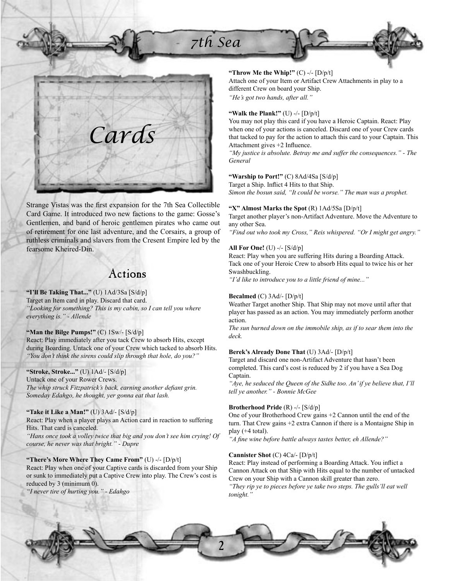# *7th Sea*



Strange Vistas was the first expansion for the 7th Sea Collectible Card Game. It introduced two new factions to the game: Gosse's Gentlemen, and band of heroic gentlemen pirates who came out of retirement for one last adventure, and the Corsairs, a group of ruthless criminals and slavers from the Cresent Empire led by the fearsome Kheired-Din.

## Actions

**"I'll Be Taking That..."** (U) 1Ad/3Sa [S/d/p] Target an Item card in play. Discard that card. *"Looking for something? This is my cabin, so I can tell you where everything is." - Allende*

**"Man the Bilge Pumps!"** (C) 1Sw/- [S/d/p] React: Play immediately after you tack Crew to absorb Hits, except during Boarding. Untack one of your Crew which tacked to absorb Hits. *"You don't think the sirens could slip through that hole, do you?"*

**"Stroke, Stroke..."** (U) 1Ad/- [S/d/p] Untack one of your Rower Crews. The whip struck Fitzpatrick's back, earning another defiant grin. *Someday Edahgo, he thought, yer gonna eat that lash.*

**"Take it Like a Man!"** (U) 3Ad/- [S/d/p] React: Play when a player plays an Action card in reaction to suffering Hits. That card is canceled. *"Hans once took a volley twice that big and you don't see him crying! Of course, he never was that bright." - Dupre*

**"There's More Where They Came From"** (U) -/- [D/p/t] React: Play when one of your Captive cards is discarded from your Ship or sunk to immediately put a Captive Crew into play. The Crew's cost is reduced by 3 (minimum 0). *"I never tire of hurting you." - Edahgo*

## **"Throw Me the Whip!"** (C) -/- [D/p/t]

Attach one of your Item or Artifact Crew Attachments in play to a different Crew on board your Ship. *"He's got two hands, after all."*

## **"Walk the Plank!"** (U) -/- [D/p/t]

You may not play this card if you have a Heroic Captain. React: Play when one of your actions is canceled. Discard one of your Crew cards that tacked to pay for the action to attach this card to your Captain. This Attachment gives  $+2$  Influence.

*"My justice is absolute. Betray me and suffer the consequences." - The General*

#### **"Warship to Port!"** (C) 8Ad/4Sa [S/d/p]

Target a Ship. Inflict 4 Hits to that Ship. *Simon the bosun said, "It could be worse." The man was a prophet.*

## **"X" Almost Marks the Spot** (R) 1Ad/5Sa [D/p/t]

Target another player's non-Artifact Adventure. Move the Adventure to any other Sea.

*"Find out who took my Cross," Reis whispered. "Or I might get angry."*

## **All For One!** (U) -/- [S/d/p]

React: Play when you are suffering Hits during a Boarding Attack. Tack one of your Heroic Crew to absorb Hits equal to twice his or her Swashbuckling.

*"I'd like to introduce you to a little friend of mine..."*

#### **Becalmed** (C) 3Ad/- [D/p/t]

Weather Target another Ship. That Ship may not move until after that player has passed as an action. You may immediately perform another action.

*The sun burned down on the immobile ship, as if to sear them into the deck.*

#### **Berek's Already Done That** (U) 3Ad/- [D/p/t]

Target and discard one non-Artifact Adventure that hasn't been completed. This card's cost is reduced by 2 if you have a Sea Dog Captain.

*"Aye, he seduced the Queen of the Sidhe too. An' if ye believe that, I'll tell ye another." - Bonnie McGee*

## **Brotherhood Pride** (R) -/- [S/d/p]

One of your Brotherhood Crew gains +2 Cannon until the end of the turn. That Crew gains +2 extra Cannon if there is a Montaigne Ship in play (+4 total).

"A fine wine before battle always tastes better, eh Allende?"

## **Cannister Shot** (C) 4Ca/- [D/p/t]

React: Play instead of performing a Boarding Attack. You inflict a Cannon Attack on that Ship with Hits equal to the number of untacked Crew on your Ship with a Cannon skill greater than zero. *"They rip ye to pieces before ye take two steps. The gulls'll eat well tonight."*

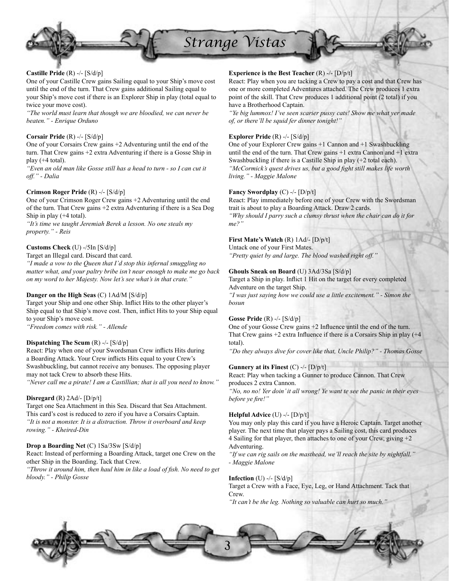

## **Castille Pride** (R) -/- [S/d/p]

One of your Castille Crew gains Sailing equal to your Ship's move cost until the end of the turn. That Crew gains additional Sailing equal to your Ship's move cost if there is an Explorer Ship in play (total equal to twice your move cost).

*"The world must learn that though we are bloodied, we can never be beaten." - Enrique Orduno*

## **Corsair Pride** (R) -/- [S/d/p]

One of your Corsairs Crew gains +2 Adventuring until the end of the turn. That Crew gains +2 extra Adventuring if there is a Gosse Ship in play  $(+4$  total).

*"Even an old man like Gosse still has a head to turn - so I can cut it off." - Dalia*

## **Crimson Roger Pride** (R) -/- [S/d/p]

One of your Crimson Roger Crew gains +2 Adventuring until the end of the turn. That Crew gains +2 extra Adventuring if there is a Sea Dog Ship in play (+4 total).

*"It's time we taught Jeremiah Berek a lesson. No one steals my property." - Reis*

## **Customs Check** (U) -/5In [S/d/p]

Target an Illegal card. Discard that card.

*"I made a vow to the Queen that I'd stop this infernal smuggling no matter what, and your paltry bribe isn't near enough to make me go back on my word to her Majesty. Now let's see what's in that crate."*

## **Danger on the High Seas** (C) 1Ad/M [S/d/p]

Target your Ship and one other Ship. Inflict Hits to the other player's Ship equal to that Ship's move cost. Then, inflict Hits to your Ship equal to your Ship's move cost.

*"Freedom comes with risk." - Allende*

## **Dispatching The Scum** (R) -/- [S/d/p]

React: Play when one of your Swordsman Crew inflicts Hits during a Boarding Attack. Your Crew inflicts Hits equal to your Crew's Swashbuckling, but cannot receive any bonuses. The opposing player may not tack Crew to absorb these Hits.

*"Never call me a pirate! I am a Castillian; that is all you need to know."*

## **Disregard** (R) 2Ad/- [D/p/t]

Target one Sea Attachment in this Sea. Discard that Sea Attachment. This card's cost is reduced to zero if you have a Corsairs Captain. *"It is not a monster. It is a distraction. Throw it overboard and keep rowing." - Kheired-Din*

## **Drop a Boarding Net** (C) 1Sa/3Sw [S/d/p]

React: Instead of performing a Boarding Attack, target one Crew on the other Ship in the Boarding. Tack that Crew.

"Throw it around him, then haul him in like a load of fish. No need to get *bloody." - Philip Gosse*

## **Experience is the Best Teacher** (R) -/- [D/p/t]

React: Play when you are tacking a Crew to pay a cost and that Crew has one or more completed Adventures attached. The Crew produces 1 extra point of the skill. That Crew produces 1 additional point (2 total) if you have a Brotherhood Captain.

*"Ye big lummox! I've seen scarier pussy cats! Show me what yer made of, or there'll be squid fer dinner tonight!"*

## **Explorer Pride** (R) -/- [S/d/p]

One of your Explorer Crew gains +1 Cannon and +1 Swashbuckling until the end of the turn. That Crew gains +1 extra Cannon and +1 extra Swashbuckling if there is a Castille Ship in play (+2 total each). "McCormick's quest drives us, but a good fight still makes life worth *living." - Maggie Malone*

## **Fancy Swordplay** (C) -/- [D/p/t]

React: Play immediately before one of your Crew with the Swordsman trait is about to play a Boarding Attack. Draw 2 cards. *"Why should I parry such a clumsy thrust when the chair can do it for me?"*

## **First Mate's Watch** (R) 1Ad/- [D/p/t]

Untack one of your First Mates. *"Pretty quiet by and large. The blood washed right off."*

## **Ghouls Sneak on Board** (U) 3Ad/3Sa [S/d/p]

Target a Ship in play. Inflict 1 Hit on the target for every completed Adventure on the target Ship.

*"I was just saying how we could use a little excitement." - Simon the bosun*

#### **Gosse Pride** (R) -/- [S/d/p]

One of your Gosse Crew gains  $+2$  Influence until the end of the turn. That Crew gains  $+2$  extra Influence if there is a Corsairs Ship in play ( $+4$ ) total).

*"Do they always dive for cover like that, Uncle Philip?" - Thomas Gosse*

## **Gunnery at its Finest** (C) -/- [D/p/t]

React: Play when tacking a Gunner to produce Cannon. That Crew produces 2 extra Cannon.

*"No, no no! Yer doin' it all wrong! Ye want te see the panic in their eyes before ye fire!"* 

#### **Helpful Advice** (U) -/- [D/p/t]

You may only play this card if you have a Heroic Captain. Target another player. The next time that player pays a Sailing cost, this card produces 4 Sailing for that player, then attaches to one of your Crew, giving +2 Adventuring.

*"If we can rig sails on the masthead, we'll reach the site by nightfall." - Maggie Malone*

#### **Infection** (U) -/- [S/d/p]

Target a Crew with a Face, Eye, Leg, or Hand Attachment. Tack that Crew.

*"It can't be the leg. Nothing so valuable can hurt so much."*

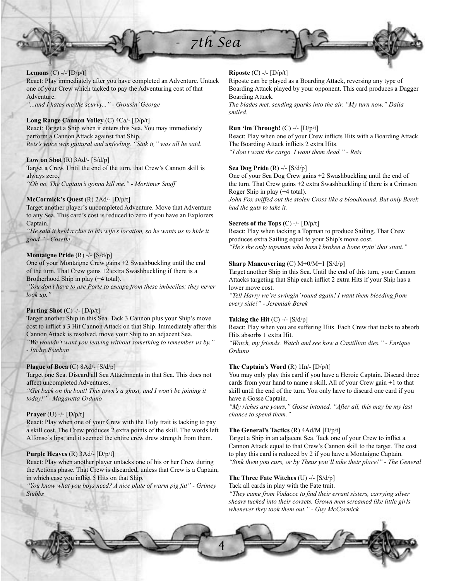



React: Play immediately after you have completed an Adventure. Untack one of your Crew which tacked to pay the Adventuring cost of that Adventure.

*"...and I hates me the scurvy..." - Grousin' George*

## **Long Range Cannon Volley** (C) 4Ca/- [D/p/t]

React: Target a Ship when it enters this Sea. You may immediately perform a Cannon Attack against that Ship. *Reis's voice was guttural and unfeeling. "Sink it," was all he said.*

#### **Low on Shot** (R) 3Ad/- [S/d/p]

Target a Crew. Until the end of the turn, that Crew's Cannon skill is always zero.

*"Oh no. The Captain's gonna kill me." - Mortimer Snuff*

#### **McCormick's Quest** (R) 2Ad/- [D/p/t]

Target another player's uncompleted Adventure. Move that Adventure to any Sea. This card's cost is reduced to zero if you have an Explorers Captain.

*"He said it held a clue to his wife's location, so he wants us to hide it good." - Cosette*

#### **Montaigne Pride** (R) -/- [S/d/p]

One of your Montaigne Crew gains +2 Swashbuckling until the end of the turn. That Crew gains +2 extra Swashbuckling if there is a Brotherhood Ship in play (+4 total).

*"You don't have to use Porte to escape from these imbeciles; they never look up."*

#### **Parting Shot** (C) -/- [D/p/t]

Target another Ship in this Sea. Tack 3 Cannon plus your Ship's move cost to inflict a 3 Hit Cannon Attack on that Ship. Immediately after this Cannon Attack is resolved, move your Ship to an adjacent Sea.

*"We wouldn't want you leaving without something to remember us by." - Padre Esteban*

## **Plague of Boca** (C) 8Ad/- [S/d/p]

Target one Sea. Discard all Sea Attachments in that Sea. This does not affect uncompleted Adventures.

*"Get back on the boat! This town's a ghost, and I won't be joining it today!" - Magaretta Orduno*

#### **Prayer** (U) -/- [D/p/t]

React: Play when one of your Crew with the Holy trait is tacking to pay a skill cost. The Crew produces 2 extra points of the skill. The words left Alfonso's lips, and it seemed the entire crew drew strength from them.

#### **Purple Heaves** (R) 3Ad/- [D/p/t]

React: Play when another player untacks one of his or her Crew during the Actions phase. That Crew is discarded, unless that Crew is a Captain, in which case you inflict 5 Hits on that Ship.

*"You know what you boys need? A nice plate of warm pig fat" - Grimey Stubbs*

## **Riposte** (C) -/- [D/p/t]

Riposte can be played as a Boarding Attack, reversing any type of Boarding Attack played by your opponent. This card produces a Dagger Boarding Attack.

*The blades met, sending sparks into the air. "My turn now," Dalia smiled.*

## **Run 'im Through!** (C) -/- [D/p/t]

React: Play when one of your Crew inflicts Hits with a Boarding Attack. The Boarding Attack inflicts 2 extra Hits. *"I don't want the cargo. I want them dead." - Reis*

#### **Sea Dog Pride** (R) -/- [S/d/p]

One of your Sea Dog Crew gains +2 Swashbuckling until the end of the turn. That Crew gains +2 extra Swashbuckling if there is a Crimson Roger Ship in play (+4 total).

*John Fox sniffed out the stolen Cross like a bloodhound. But only Berek had the guts to take it.*

## **Secrets of the Tops** (C) -/- [D/p/t]

React: Play when tacking a Topman to produce Sailing. That Crew produces extra Sailing equal to your Ship's move cost. *"He's the only topsman who hasn't broken a bone tryin' that stunt."*

## **Sharp Maneuvering** (C) M+0/M+1 [S/d/p]

Target another Ship in this Sea. Until the end of this turn, your Cannon Attacks targeting that Ship each inflict 2 extra Hits if your Ship has a lower move cost.

*"Tell Harry we're swingin' round again! I want them bleeding from every side!" - Jeremiah Berek*

#### **Taking the Hit**  $(C)$  -/-  $[S/d/p]$

React: Play when you are suffering Hits. Each Crew that tacks to absorb Hits absorbs 1 extra Hit.

*"Watch, my friends. Watch and see how a Castillian dies." - Enrique Orduno*

## **The Captain's Word** (R) 1In/- [D/p/t]

You may only play this card if you have a Heroic Captain. Discard three cards from your hand to name a skill. All of your Crew gain +1 to that skill until the end of the turn. You only have to discard one card if you have a Gosse Captain.

*"My riches are yours," Gosse intoned. "After all, this may be my last chance to spend them."*

#### **The General's Tactics** (R) 4Ad/M [D/p/t]

Target a Ship in an adjacent Sea. Tack one of your Crew to inflict a Cannon Attack equal to that Crew's Cannon skill to the target. The cost to play this card is reduced by 2 if you have a Montaigne Captain. *"Sink them you curs, or by Theus you'll take their place!" - The General*

#### **The Three Fate Witches** (U) -/- [S/d/p]

Tack all cards in play with the Fate trait.

*"They came from Vodacce to find their errant sisters, carrying silver*" *shears tucked into their corsets. Grown men screamed like little girls whenever they took them out." - Guy McCormick*

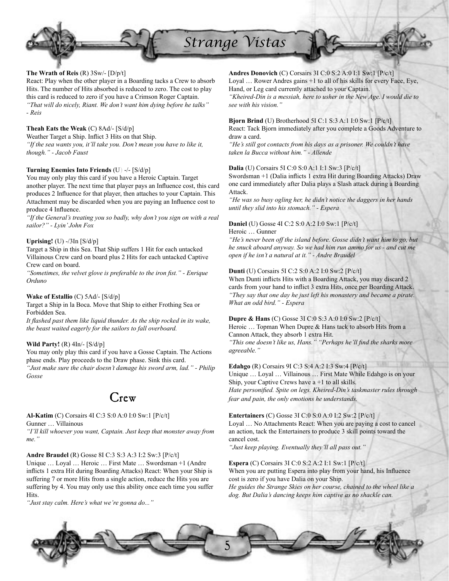

## **The Wrath of Reis** (R) 3Sw/- [D/p/t]

React: Play when the other player in a Boarding tacks a Crew to absorb Hits. The number of Hits absorbed is reduced to zero. The cost to play this card is reduced to zero if you have a Crimson Roger Captain. *"That will do nicely, Riant. We don't want him dying before he talks" - Reis*

## **Theah Eats the Weak** (C) 8Ad/- [S/d/p]

Weather Target a Ship. Inflict 3 Hits on that Ship. *"If the sea wants you, it'll take you. Don't mean you have to like it, though." - Jacob Faust*

## **Turning Enemies Into Friends** (U) -/- [S/d/p]

You may only play this card if you have a Heroic Captain. Target another player. The next time that player pays an Influence cost, this card produces 2 Influence for that player, then attaches to your Captain. This Attachment may be discarded when you are paying an Influence cost to produce 4 Influence.

*"If the General's treating you so badly, why don't you sign on with a real sailor?" - Lyin' John Fox*

## **Uprising!** (U) -/3In [S/d/p]

Target a Ship in this Sea. That Ship suffers 1 Hit for each untacked Villainous Crew card on board plus 2 Hits for each untacked Captive Crew card on board.

*"Sometimes, the velvet glove is preferable to the iron fist." - Enrique Orduno*

## **Wake of Estallio** (C) 5Ad/- [S/d/p]

Target a Ship in la Boca. Move that Ship to either Frothing Sea or Forbidden Sea.

It flashed past them like liquid thunder. As the ship rocked in its wake, *the beast waited eagerly for the sailors to fall overboard.*

## **Wild Party!** (R) 4In/- [S/d/p]

You may only play this card if you have a Gosse Captain. The Actions phase ends. Play proceeds to the Draw phase. Sink this card. *"Just make sure the chair doesn't damage his sword arm, lad." - Philip Gosse*

# Crew

## **Al-Katim** (C) Corsairs 4I C:3 S:0 A:0 I:0 Sw:1 [P/c/t]

Gunner … Villainous

*"I'll kill whoever you want, Captain. Just keep that monster away from me."*

#### **Andre Braudel** (R) Gosse 8I C:3 S:3 A:3 I:2 Sw:3 [P/c/t]

Unique … Loyal … Heroic … First Mate … Swordsman +1 (Andre inflicts 1 extra Hit during Boarding Attacks) React: When your Ship is suffering 7 or more Hits from a single action, reduce the Hits you are suffering by 4. You may only use this ability once each time you suffer **Hits**.

*"Just stay calm. Here's what we're gonna do..."*

## **Andres Donovich** (C) Corsairs 3I C:0 S:2 A:0 I:1 Sw:1 [P/c/t] Loyal … Rower Andres gains +1 to all of his skills for every Face, Eye, Hand, or Leg card currently attached to your Captain. *"Kheired-Din is a messiah, here to usher in the New Age. I would die to*

*see with his vision."*

## **Bjorn Brind** (U) Brotherhood 5I C:1 S:3 A:1 I:0 Sw:1 [P/c/t]

React: Tack Bjorn immediately after you complete a Goods Adventure to draw a card.

*"He's still got contacts from his days as a prisoner. We couldn't have taken la Bucca without him." - Allende*

#### **Dalia** (U) Corsairs 5I C:0 S:0 A:1 I:1 Sw:3 [P/c/t]

Swordsman +1 (Dalia inflicts 1 extra Hit during Boarding Attacks) Draw one card immediately after Dalia plays a Slash attack during a Boarding Attack.

*"He was so busy ogling her, he didn't notice the daggers in her hands until they slid into his stomach." - Espera*

## **Daniel** (U) Gosse 4I C:2 S:0 A:2 I:0 Sw:1 [P/c/t]

Heroic … Gunner

*"He's never been off the island before. Gosse didn't want him to go, but he snuck aboard anyway. So we had him run ammo for us - and cut me open if he isn't a natural at it." - Andre Braudel*

## **Dunti** (U) Corsairs 5I C:2 S:0 A:2 I:0 Sw:2 [P/c/t]

When Dunti inflicts Hits with a Boarding Attack, you may discard 2 cards from your hand to inflict 3 extra Hits, once per Boarding Attack. *"They say that one day he just left his monastery and became a pirate. What an odd bird." - Espera*

## **Dupre & Hans** (C) Gosse 3I C:0 S:3 A:0 I:0 Sw:2 [P/c/t]

Heroic ... Topman When Dupre & Hans tack to absorb Hits from a Cannon Attack, they absorb 1 extra Hit.

"This one doesn't like us, Hans." "Perhaps he'll find the sharks more *agreeable."*

#### **Edahgo** (R) Corsairs 9I C:3 S:4 A:2 I:3 Sw:4 [P/c/t]

Unique … Loyal … Villainous … First Mate While Edahgo is on your Ship, your Captive Crews have  $a + 1$  to all skills. Hate personified. Spite on legs. Kheired-Din's taskmaster rules through *fear and pain, the only emotions he understands.*

## **Entertainers** (C) Gosse 3I C:0 S:0 A:0 I:2 Sw:2 [P/c/t]

Loyal … No Attachments React: When you are paying a cost to cancel an action, tack the Entertainers to produce 3 skill points toward the cancel cost.

*"Just keep playing. Eventually they'll all pass out."*

## **Espera** (C) Corsairs 3I C:0 S:2 A:2 I:1 Sw:1 [P/c/t]

When you are putting Espera into play from your hand, his Influence cost is zero if you have Dalia on your Ship. *He guides the Strange Skies on her course, chained to the wheel like a* 

*dog. But Dalia's dancing keeps him captive as no shackle can.*

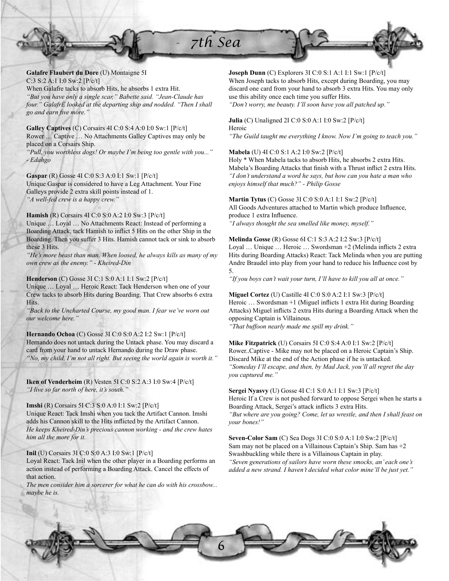**Galafre Flaubert du Dore** (U) Montaigne 5I C:3 S:2 A:1 I:0 Sw:2 [P/c/t] When Galafre tacks to absorb Hits, he absorbs 1 extra Hit. *"But you have only a single scar," Babette said. "Jean-Claude has four." GalafrÈ looked at the departing ship and nodded. "Then I shall go and earn fi ve more."*

**Galley Captives** (C) Corsairs 4I C:0 S:4 A:0 I:0 Sw:1 [P/c/t] Rower … Captive … No Attachments Galley Captives may only be placed on a Corsairs Ship.

*"Pull, you worthless dogs! Or maybe I'm being too gentle with you..." - Edahgo*

**Gaspar** (R) Gosse 4I C:0 S:3 A:0 I:1 Sw:1 [P/c/t] Unique Gaspar is considered to have a Leg Attachment. Your Fine Galleys provide 2 extra skill points instead of 1. *"A well-fed crew is a happy crew."*

**Hamish** (R) Corsairs 4I C:0 S:0 A:2 I:0 Sw:3 [P/c/t] Unique … Loyal … No Attachments React: Instead of performing a Boarding Attack, tack Hamish to inflict 5 Hits on the other Ship in the Boarding. Then you suffer 3 Hits. Hamish cannot tack or sink to absorb these 3 Hits.

*"He's more beast than man. When loosed, he always kills as many of my own crew as the enemy." - Kheired-Din*

**Henderson** (C) Gosse 3I C:1 S:0 A:1 I:1 Sw:2 [P/c/t] Unique … Loyal … Heroic React: Tack Henderson when one of your Crew tacks to absorb Hits during Boarding. That Crew absorbs 6 extra **Hits.** 

*"Back to the Uncharted Course, my good man. I fear we've worn out our welcome here."*

**Hernando Ochoa** (C) Gosse 3I C:0 S:0 A:2 I:2 Sw:1 [P/c/t] Hernando does not untack during the Untack phase. You may discard a card from your hand to untack Hernando during the Draw phase. *"No, my child, I'm not all right. But seeing the world again is worth it."*

**Iken of Venderheim** (R) Vesten 5I C:0 S:2 A:3 I:0 Sw:4 [P/c/t] *"I live so far north of here, it's south."*

**Imshi** (R) Corsairs 5I C:3 S:0 A:0 I:1 Sw:2 [P/c/t]

Unique React: Tack Imshi when you tack the Artifact Cannon. Imshi adds his Cannon skill to the Hits inflicted by the Artifact Cannon. *He keeps Kheired-Din's precious cannon working - and the crew hates him all the more for it.*

**Inil** (U) Corsairs 3I C:0 S:0 A:3 I:0 Sw:1 [P/c/t] Loyal React: Tack Inil when the other player in a Boarding performs an

action instead of performing a Boarding Attack. Cancel the effects of that action.

*The men consider him a sorcerer for what he can do with his crossbow... maybe he is.*

**Joseph Dunn** (C) Explorers 3I C:0 S:1 A:1 I:1 Sw:1 [P/c/t]

When Joseph tacks to absorb Hits, except during Boarding, you may discard one card from your hand to absorb 3 extra Hits. You may only use this ability once each time you suffer Hits.

*"Don't worry, me beauty. I'll soon have you all patched up."*

#### **Julia** (C) Unaligned 2I C:0 S:0 A:1 I:0 Sw:2 [P/c/t] Heroic

*"The Guild taught me everything I know. Now I'm going to teach you."*

## **Mabela** (U) 4I C:0 S:1 A:2 I:0 Sw:2 [P/c/t]

Holy \* When Mabela tacks to absorb Hits, he absorbs 2 extra Hits. Mabela's Boarding Attacks that finish with a Thrust inflict 2 extra Hits. *"I don't understand a word he says, but how can you hate a man who enjoys himself that much?" - Philip Gosse*

## **Martin Tytus** (C) Gosse 3I C:0 S:0 A:1 I:1 Sw:2 [P/c/t]

All Goods Adventures attached to Martin which produce Influence, produce 1 extra Influence. *"I always thought the sea smelled like money, myself."*

**Melinda Gosse** (R) Gosse 6I C:1 S:3 A:2 I:2 Sw:3 [P/c/t]

Loyal ... Unique ... Heroic ... Swordsman +2 (Melinda inflicts 2 extra Hits during Boarding Attacks) React: Tack Melinda when you are putting Andre Braudel into play from your hand to reduce his Influence cost by 5.

*"If you boys can't wait your turn, I'll have to kill you all at once."*

**Miguel Cortez** (U) Castille 4I C:0 S:0 A:2 I:1 Sw:3 [P/c/t] Heroic ... Swordsman +1 (Miguel inflicts 1 extra Hit during Boarding Attacks) Miguel inflicts 2 extra Hits during a Boarding Attack when the opposing Captain is Villainous. *"That buffoon nearly made me spill my drink."*

**Mike Fitzpatrick** (U) Corsairs 5I C:0 S:4 A:0 I:1 Sw:2 [P/c/t] Rower..Captive - Mike may not be placed on a Heroic Captain's Ship. Discard Mike at the end of the Action phase if he is untacked. *"Someday I'll escape, and then, by Mad Jack, you'll all regret the day you captured me."*

**Sergei Nyasvy** (U) Gosse 4I C:1 S:0 A:1 I:1 Sw:3 [P/c/t] Heroic If a Crew is not pushed forward to oppose Sergei when he starts a Boarding Attack, Sergei's attack inflicts 3 extra Hits.

*"But where are you going? Come, let us wrestle, and then I shall feast on your bones!"*

**Seven-Color Sam** (C) Sea Dogs 3I C:0 S:0 A:1 I:0 Sw:2 [P/c/t] Sam may not be placed on a Villainous Captain's Ship. Sam has +2 Swashbuckling while there is a Villainous Captain in play. *"Seven generations of sailors have worn these smocks, an' each one's added a new strand. I haven't decided what color mine'll be just yet."*

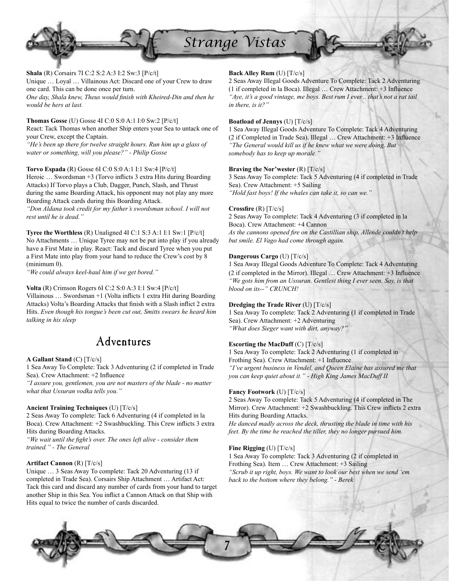

**Shala** (R) Corsairs 7I C:2 S:2 A:3 I:2 Sw:3 [P/c/t] Unique … Loyal … Villainous Act: Discard one of your Crew to draw one card. This can be done once per turn. One day, Shala knew, Theus would finish with Kheired-Din and then he *would be hers at last.*

**Thomas Gosse** (U) Gosse 4I C:0 S:0 A:1 I:0 Sw:2 [P/c/t] React: Tack Thomas when another Ship enters your Sea to untack one of your Crew, except the Captain. *"He's been up there for twelve straight hours. Run him up a glass of water or something, will you please?" - Philip Gosse*

**Torvo Espada** (R) Gosse 6I C:0 S:0 A:1 I:1 Sw:4 [P/c/t] Heroic ... Swordsman +3 (Torvo inflicts 3 extra Hits during Boarding Attacks) If Torvo plays a Club, Dagger, Punch, Slash, and Thrust during the same Boarding Attack, his opponent may not play any more Boarding Attack cards during this Boarding Attack.

*"Don Aldana took credit for my father's swordsman school. I will not rest until he is dead."*

**Tyree the Worthless** (R) Unaligned 4I C:1 S:3 A:1 I:1 Sw:1 [P/c/t] No Attachments … Unique Tyree may not be put into play if you already have a First Mate in play. React: Tack and discard Tyree when you put a First Mate into play from your hand to reduce the Crew's cost by 8 (minimum 0).

*"We could always keel-haul him if we get bored."*

**Volta** (R) Crimson Rogers 6I C:2 S:0 A:3 I:1 Sw:4 [P/c/t] Villainous  $\ldots$  Swordsman +1 (Volta inflicts 1 extra Hit during Boarding Attacks) Volta's Boarding Attacks that finish with a Slash inflict 2 extra Hits. *Even though his tongue's been cut out, Smitts swears he heard him talking in his sleep*

## Adventures

## **A Gallant Stand** (C) [T/c/s]

1 Sea Away To Complete: Tack 3 Adventuring (2 if completed in Trade Sea). Crew Attachment: +2 Influence

*"I assure you, gentlemen, you are not masters of the blade - no matter what that Ussuran vodka tells you."*

## **Ancient Training Techniques** (U) [T/c/s]

2 Seas Away To complete: Tack 6 Adventuring (4 if completed in la Boca). Crew Attachment: +2 Swashbuckling. This Crew inflicts 3 extra Hits during Boarding Attacks.

"We wait until the fight's over. The ones left alive - consider them *trained." - The General*

## **Artifact Cannon** (R) [T/c/s]

Unique … 3 Seas Away To complete: Tack 20 Adventuring (13 if completed in Trade Sea). Corsairs Ship Attachment … Artifact Act: Tack this card and discard any number of cards from your hand to target another Ship in this Sea. You inflict a Cannon Attack on that Ship with Hits equal to twice the number of cards discarded.

## **Back Alley Rum** (U) [T/c/s]

2 Seas Away Illegal Goods Adventure To Complete: Tack 2 Adventuring  $(1 if completed in la Boca)$ . Illegal ... Crew Attachment:  $+3$  Influence *"Aye, it's a good vintage, me boys. Best rum I ever... that's not a rat tail in there, is it?"*

## **Boatload of Jennys** (U) [T/c/s]

1 Sea Away Illegal Goods Adventure To Complete: Tack 4 Adventuring (2 if Completed in Trade Sea). Illegal ... Crew Attachment: +3 Influence *"The General would kill us if he knew what we were doing. But somebody has to keep up morale."*

## **Braving the Nor'wester** (R) [T/c/s]

3 Seas Away To complete: Tack 5 Adventuring (4 if completed in Trade Sea). Crew Attachment: +5 Sailing *"Hold fast boys! If the whales can take it, so can we."*

## **Crossfire** (R) [T/c/s]

2 Seas Away To complete: Tack 4 Adventuring (3 if completed in la Boca). Crew Attachment: +4 Cannon As the cannons opened fire on the Castillian ship, Allende couldn't help *but smile. El Vago had come through again.*

## **Dangerous Cargo** (U) [T/c/s]

1 Sea Away Illegal Goods Adventure To Complete: Tack 4 Adventuring  $(2 \text{ if completed in the Mirror})$ . Illegal ... Crew Attachment:  $+3$  Influence *"We gots him from an Ussuran. Gentlest thing I ever seen. Say, is that blood on its--" CRUNCH!*

## **Dredging the Trade River** (U) [T/c/s]

1 Sea Away To complete: Tack 2 Adventuring (1 if completed in Trade Sea). Crew Attachment: +2 Adventuring *"What does Sieger want with dirt, anyway?"*

## **Escorting the MacDuff** (C) [T/c/s]

1 Sea Away To complete: Tack 2 Adventuring (1 if completed in Frothing Sea). Crew Attachment: +1 Influence *"I've urgent business in Vendel, and Queen Elaine has assured me that you can keep quiet about it." - High King James MacDuff II*

## **Fancy Footwork** (U) [T/c/s]

2 Seas Away To complete: Tack 5 Adventuring (4 if completed in The Mirror). Crew Attachment: +2 Swashbuckling. This Crew inflicts 2 extra Hits during Boarding Attacks.

*He danced madly across the deck, thrusting the blade in time with his feet. By the time he reached the tiller, they no longer pursued him.*

## **Fine Rigging** (U) [T/c/s]

1 Sea Away To complete: Tack 3 Adventuring (2 if completed in Frothing Sea). Item … Crew Attachment: +3 Sailing *"Scrub it up right, boys. We want to look our best when we send 'em back to the bottom where they belong." - Berek*

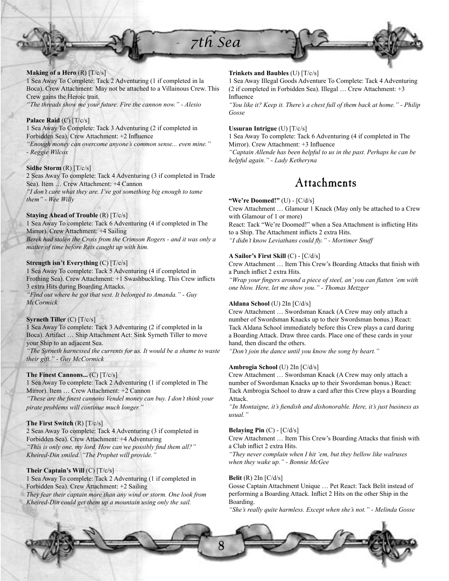

## **Making of a Hero** (R) [T/c/s]

1 Sea Away To Complete: Tack 2 Adventuring (1 if completed in la Boca). Crew Attachment: May not be attached to a Villainous Crew. This Crew gains the Heroic trait. *"The threads show me your future. Fire the cannon now." - Alesio*

#### **Palace Raid** (C) [T/c/s]

1 Sea Away To Complete: Tack 3 Adventuring (2 if completed in Forbidden Sea). Crew Attachment: +2 Influence *"Enough money can overcome anyone's common sense... even mine." - Reggie Wilcox*

#### **Sidhe Storm** (R) [T/c/s]

2 Seas Away To complete: Tack 4 Adventuring (3 if completed in Trade Sea). Item … Crew Attachment: +4 Cannon *"I don't care what they are. I've got something big enough to tame them" - Wee Willy*

## **Staying Ahead of Trouble** (R) [T/c/s]

1 Sea Away To complete: Tack 6 Adventuring (4 if completed in The Mirror). Crew Attachment: +4 Sailing *Berek had stolen the Cross from the Crimson Rogers - and it was only a matter of time before Reis caught up with him.*

## **Strength isn't Everything** (C) [T/c/s]

1 Sea Away To complete: Tack 5 Adventuring (4 if completed in Frothing Sea). Crew Attachment: +1 Swashbuckling. This Crew inflicts 3 extra Hits during Boarding Attacks.

*"Find out where he got that vest. It belonged to Amanda." - Guy McCormick*

#### **Syrneth Tiller** (C) [T/c/s]

1 Sea Away To complete: Tack 3 Adventuring (2 if completed in la Boca). Artifact … Ship Attachment Act: Sink Syrneth Tiller to move your Ship to an adjacent Sea.

*"The Syrneth harnessed the currents for us. It would be a shame to waste their gift." - Guy McCormick*

## **The Finest Cannons...** (C) [T/c/s]

1 Sea Away To complete: Tack 2 Adventuring (1 if completed in The Mirror). Item … Crew Attachment: +2 Cannon "These are the finest cannons Vendel money can buy. I don't think your *pirate problems will continue much longer."*

#### **The First Switch** (R) [T/c/s]

2 Seas Away To complete: Tack 4 Adventuring (3 if completed in Forbidden Sea). Crew Attachment: +4 Adventuring "This is only one, my lord. How can we possibly find them all?" *Kheired-Din smiled. "The Prophet will provide."*

#### **Their Captain's Will** (C) [T/c/s]

1 Sea Away To complete: Tack 2 Adventuring (1 if completed in Forbidden Sea). Crew Attachment: +2 Sailing *They fear their captain more than any wind or storm. One look from Kheired-Din could get them up a mountain using only the sail.*

### **Trinkets and Baubles** (U) [T/c/s]

1 Sea Away Illegal Goods Adventure To Complete: Tack 4 Adventuring (2 if completed in Forbidden Sea). Illegal … Crew Attachment: +3 Influence

*"You like it? Keep it. There's a chest full of them back at home." - Philip Gosse*

## **Ussuran Intrigue** (U) [T/c/s]

1 Sea Away To complete: Tack 6 Adventuring (4 if completed in The Mirror). Crew Attachment: +3 Influence

*"Captain Allende has been helpful to us in the past. Perhaps he can be helpful again." - Lady Ketheryna*

## Attachments

## **"We're Doomed!"** (U) - [C/d/s]

Crew Attachment … Glamour 1 Knack (May only be attached to a Crew with Glamour of 1 or more)

React: Tack "We're Doomed!" when a Sea Attachment is inflicting Hits to a Ship. The Attachment inflicts 2 extra Hits.

"I didn't know Leviathans could fly." - Mortimer Snuff

## **A Sailor's First Skill** (C) - [C/d/s]

Crew Attachment ... Item This Crew's Boarding Attacks that finish with a Punch inflict 2 extra Hits.

"Wrap your fingers around a piece of steel, an' you can flatten 'em with *one blow. Here, let me show you." - Thomas Metzger*

#### **Aldana School** (U) 2In [C/d/s]

Crew Attachment … Swordsman Knack (A Crew may only attach a number of Swordsman Knacks up to their Swordsman bonus.) React: Tack Aldana School immediately before this Crew plays a card during a Boarding Attack. Draw three cards. Place one of these cards in your hand, then discard the others.

*"Don't join the dance until you know the song by heart."*

#### **Ambrogia School** (U) 2In [C/d/s]

Crew Attachment … Swordsman Knack (A Crew may only attach a number of Swordsman Knacks up to their Swordsman bonus.) React: Tack Ambrogia School to draw a card after this Crew plays a Boarding Attack.

"In Montaigne, it's fiendish and dishonorable. Here, it's just business as *usual."*

#### **Belaying Pin** (C) - [C/d/s]

Crew Attachment ... Item This Crew's Boarding Attacks that finish with a Club inflict 2 extra Hits.

*"They never complain when I hit 'em, but they bellow like walruses when they wake up." - Bonnie McGee*

#### **Belit** (R) 2In [C/d/s]

Gosse Captain Attachment Unique … Pet React: Tack Belit instead of performing a Boarding Attack. Inflict 2 Hits on the other Ship in the Boarding.

*"She's really quite harmless. Except when she's not." - Melinda Gosse*

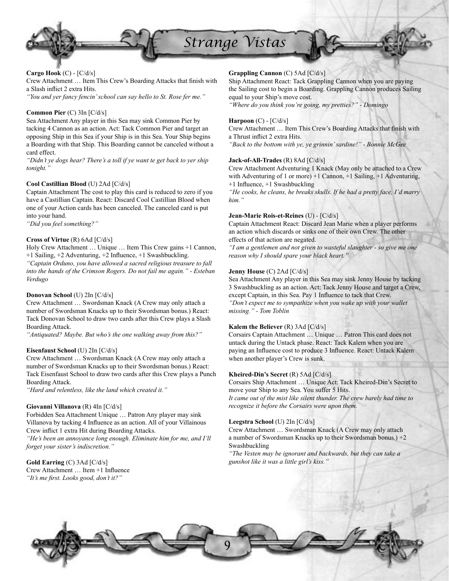

## **Cargo Hook** (C) - [C/d/s]

Crew Attachment ... Item This Crew's Boarding Attacks that finish with a Slash inflict 2 extra Hits.

*"You and yer fancy fencin' school can say hello to St. Rose fer me."*

## **Common Pier** (C) 3In [C/d/s]

Sea Attachment Any player in this Sea may sink Common Pier by tacking 4 Cannon as an action. Act: Tack Common Pier and target an opposing Ship in this Sea if your Ship is in this Sea. Your Ship begins a Boarding with that Ship. This Boarding cannot be canceled without a card effect.

*"Didn't ye dogs hear? There's a toll if ye want te get back to yer ship tonight."*

## **Cool Castillian Blood** (U) 2Ad [C/d/s]

Captain Attachment The cost to play this card is reduced to zero if you have a Castillian Captain. React: Discard Cool Castillian Blood when one of your Action cards has been canceled. The canceled card is put into your hand.

*"Did you feel something?"*

## **Cross of Virtue** (R) 6Ad [C/d/s]

Holy Crew Attachment … Unique … Item This Crew gains +1 Cannon,  $+1$  Sailing,  $+2$  Adventuring,  $+2$  Influence,  $+1$  Swashbuckling.

*"Captain Orduno, you have allowed a sacred religious treasure to fall into the hands of the Crimson Rogers. Do not fail me again." - Esteban Verdugo*

## **Donovan School** (U) 2In [C/d/s]

Crew Attachment … Swordsman Knack (A Crew may only attach a number of Swordsman Knacks up to their Swordsman bonus.) React: Tack Donovan School to draw two cards after this Crew plays a Slash Boarding Attack.

*"Antiquated? Maybe. But who's the one walking away from this?"*

#### **Eisenfaust School** (U) 2In [C/d/s]

Crew Attachment … Swordsman Knack (A Crew may only attach a number of Swordsman Knacks up to their Swordsman bonus.) React: Tack Eisenfaust School to draw two cards after this Crew plays a Punch Boarding Attack.

*"Hard and relentless, like the land which created it."*

#### **Giovanni Villanova** (R) 4In [C/d/s]

Forbidden Sea Attachment Unique … Patron Any player may sink Villanova by tacking 4 Influence as an action. All of your Villainous Crew inflict 1 extra Hit during Boarding Attacks.

*"He's been an annoyance long enough. Eliminate him for me, and I'll forget your sister's indiscretion."*

## **Gold Earring** (C) 3Ad [C/d/s]

Crew Attachment ... Item +1 Influence "It's me first. Looks good, don't it?"

## **Grappling Cannon** (C) 5Ad [C/d/s]

Ship Attachment React: Tack Grappling Cannon when you are paying the Sailing cost to begin a Boarding. Grappling Cannon produces Sailing equal to your Ship's move cost.

*"Where do you think you're going, my pretties?" - Domingo*

#### **Harpoon** (C) - [C/d/s]

Crew Attachment ... Item This Crew's Boarding Attacks that finish with a Thrust inflict 2 extra Hits.

*"Back to the bottom with ye, ye grinnin' sardine!" - Bonnie McGee*

## **Jack-of-All-Trades** (R) 8Ad [C/d/s]

Crew Attachment Adventuring 1 Knack (May only be attached to a Crew with Adventuring of 1 or more) +1 Cannon, +1 Sailing, +1 Adventuring,  $+1$  Influence,  $+1$  Swashbuckling

*"He cooks, he cleans, he breaks skulls. If he had a pretty face, I'd marry him."*

#### **Jean-Marie Rois-et-Reines** (U) - [C/d/s]

Captain Attachment React: Discard Jean Marie when a player performs an action which discards or sinks one of their own Crew. The other effects of that action are negated.

*"I am a gentlemen and not given to wasteful slaughter - so give me one reason why I should spare your black heart."*

## **Jenny House** (C) 2Ad [C/d/s]

Sea Attachment Any player in this Sea may sink Jenny House by tacking 3 Swashbuckling as an action. Act: Tack Jenny House and target a Crew, except Captain, in this Sea. Pay 1 Influence to tack that Crew. *"Don't expect me to sympathize when you wake up with your wallet missing." - Tom Toblin*

#### **Kalem the Believer** (R) 3Ad [C/d/s]

Corsairs Captain Attachment … Unique … Patron This card does not untack during the Untack phase. React: Tack Kalem when you are paying an Influence cost to produce 3 Influence. React: Untack Kalem when another player's Crew is sunk.

#### **Kheired-Din's Secret** (R) 5Ad [C/d/s]

Corsairs Ship Attachment … Unique Act: Tack Kheired-Din's Secret to move your Ship to any Sea. You suffer 5 Hits.

*It came out of the mist like silent thunder. The crew barely had time to recognize it before the Corsairs were upon them.*

#### **Leegstra School** (U) 2In [C/d/s]

Crew Attachment … Swordsman Knack (A Crew may only attach a number of Swordsman Knacks up to their Swordsman bonus.) +2 Swashbuckling

*"The Vesten may be ignorant and backwards, but they can take a gunshot like it was a little girl's kiss."*

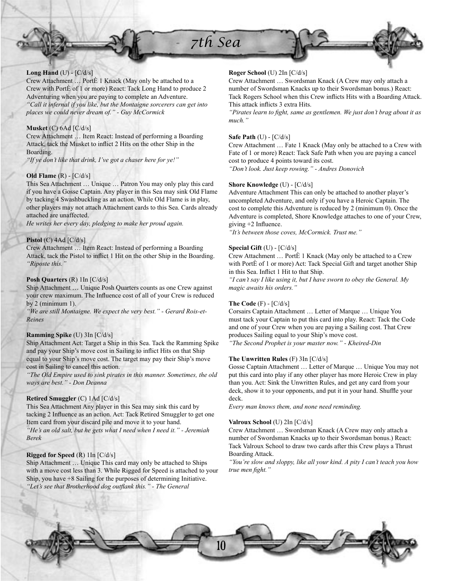



## **Long Hand** (U) - [C/d/s]

Crew Attachment … PortÈ 1 Knack (May only be attached to a Crew with PortÈ of 1 or more) React: Tack Long Hand to produce 2 Adventuring when you are paying to complete an Adventure. *"Call it infernal if you like, but the Montaigne sorcerers can get into places we could never dream of." - Guy McCormick*

## **Musket** (C) 6Ad [C/d/s]

Crew Attachment … Item React: Instead of performing a Boarding Attack, tack the Musket to inflict 2 Hits on the other Ship in the Boarding.

*"If ye don't like that drink, I've got a chaser here for ye!"*

## **Old Flame** (R) - [C/d/s]

This Sea Attachment … Unique … Patron You may only play this card if you have a Gosse Captain. Any player in this Sea may sink Old Flame by tacking 4 Swashbuckling as an action. While Old Flame is in play, other players may not attach Attachment cards to this Sea. Cards already attached are unaffected.

*He writes her every day, pledging to make her proud again.*

## **Pistol** (C) 4Ad [C/d/s]

Crew Attachment … Item React: Instead of performing a Boarding Attack, tack the Pistol to inflict 1 Hit on the other Ship in the Boarding. *"Riposte this."*

#### **Posh Quarters** (R) 1In [C/d/s]

Ship Attachment … Unique Posh Quarters counts as one Crew against your crew maximum. The Influence cost of all of your Crew is reduced by  $2$  (minimum 1).

*"We are still Montaigne. We expect the very best." - Gerard Rois-et-Reines*

#### **Ramming Spike** (U) 3In [C/d/s]

Ship Attachment Act: Target a Ship in this Sea. Tack the Ramming Spike and pay your Ship's move cost in Sailing to inflict Hits on that Ship equal to your Ship's move cost. The target may pay their Ship's move cost in Sailing to cancel this action.

*"The Old Empire used to sink pirates in this manner. Sometimes, the old ways are best." - Don Deanna*

## **Retired Smuggler** (C) 1Ad [C/d/s]

This Sea Attachment Any player in this Sea may sink this card by tacking 2 Influence as an action. Act: Tack Retired Smuggler to get one Item card from your discard pile and move it to your hand. *"He's an old salt, but he gets what I need when I need it." - Jeremiah Berek*

#### **Rigged for Speed** (R) 1In [C/d/s]

Ship Attachment … Unique This card may only be attached to Ships with a move cost less than 3. While Rigged for Speed is attached to your Ship, you have +8 Sailing for the purposes of determining Initiative. "Let's see that Brotherhood dog outflank this." - The General

## **Roger School** (U) 2In [C/d/s]

Crew Attachment … Swordsman Knack (A Crew may only attach a number of Swordsman Knacks up to their Swordsman bonus.) React: Tack Rogers School when this Crew inflicts Hits with a Boarding Attack. This attack inflicts 3 extra Hits.

*"Pirates learn to fight, same as gentlemen. We just don't brag about it as much."*

#### **Safe Path** (U) - [C/d/s]

Crew Attachment … Fate 1 Knack (May only be attached to a Crew with Fate of 1 or more) React: Tack Safe Path when you are paying a cancel cost to produce 4 points toward its cost.

*"Don't look. Just keep rowing." - Andres Donovich*

### **Shore Knowledge** (U) - [C/d/s]

Adventure Attachment This can only be attached to another player's uncompleted Adventure, and only if you have a Heroic Captain. The cost to complete this Adventure is reduced by 2 (minimum 0). Once the Adventure is completed, Shore Knowledge attaches to one of your Crew, giving  $+2$  Influence.

*"It's between those coves, McCormick. Trust me."*

## **Special Gift** (U) - [C/d/s]

Crew Attachment … PortÈ 1 Knack (May only be attached to a Crew with PortÈ of 1 or more) Act: Tack Special Gift and target another Ship in this Sea. Inflict 1 Hit to that Ship.

*"I can't say I like using it, but I have sworn to obey the General. My magic awaits his orders."*

#### **The Code** (F) - [C/d/s]

Corsairs Captain Attachment … Letter of Marque … Unique You must tack your Captain to put this card into play. React: Tack the Code and one of your Crew when you are paying a Sailing cost. That Crew produces Sailing equal to your Ship's move cost.

*"The Second Prophet is your master now." - Kheired-Din*

## **The Unwritten Rules** (F) 3In [C/d/s]

Gosse Captain Attachment … Letter of Marque … Unique You may not put this card into play if any other player has more Heroic Crew in play than you. Act: Sink the Unwritten Rules, and get any card from your deck, show it to your opponents, and put it in your hand. Shuffle your deck.

*Every man knows them, and none need reminding.*

## **Valroux School** (U) 2In [C/d/s]

Crew Attachment … Swordsman Knack (A Crew may only attach a number of Swordsman Knacks up to their Swordsman bonus.) React: Tack Valroux School to draw two cards after this Crew plays a Thrust Boarding Attack.

*"You're slow and sloppy, like all your kind. A pity I can't teach you how true men fight.*"